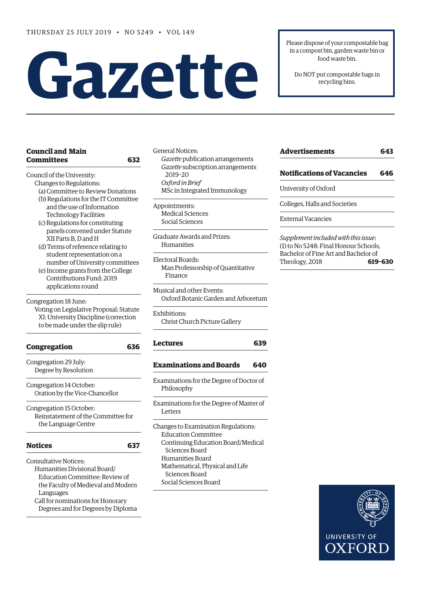# **Gazette**

Please dispose of your compostable bag in a compost bin, garden waste bin or food waste bin.

Do NOT put compostable bags in recycling bins.

### **[Council and Main](#page-1-0)  [Committees 632](#page-1-0)**

[Council of the University](#page-1-0):

- [Changes to Regulations:](#page-1-0) [\(a\) Committee to Review Donations](#page-1-0)
- [\(b\) Regulations for the IT Committee](#page-2-0)   [and the use of Information](#page-2-0)   [Technology Facilities](#page-2-0)
- [\(c\) Regulations for constituting](#page-3-0)   [panels convened under Statute](#page-3-0)   [XII Parts B, D and H](#page-3-0)
- [\(d\) Terms of reference relating to](#page-3-0)   [student representation on a](#page-3-0)   [number of University committees](#page-3-0)
- [\(e\) Income grants from the College](#page-4-0)   [Contributions Fund: 2019](#page-4-0)   [applications round](#page-4-0)

Congregation 18 June:

Voting on Legislative Proposal: Statute XI: University Discipline (correction to be made under the slip rule)

| Congregation                       |     |
|------------------------------------|-----|
| Congregation 29 July:              |     |
| Degree by Resolution               |     |
| Congregation 14 October:           |     |
| Oration by the Vice-Chancellor     |     |
| Congregation 15 October:           |     |
| Reinstatement of the Committee for |     |
| the Language Centre                |     |
| <b>Notices</b>                     | 637 |
| <b>Consultative Notices:</b>       |     |
| Uumanities Divisional Deard/       |     |

[Humanities Divisional Board/](#page-6-0)  [Education Committee:](#page-6-0) Review of the Faculty of Medieval and Modern Languages [Call for nominations for Honorary](#page-6-0)   [Degrees and for Degrees by Diploma](#page-6-0) [General Notices](#page-7-0): *Gazette* [publication arrangements](#page-7-0) *Gazette* [subscription arrangements](#page-7-0)   [2019–20](#page-7-0)  *Oxford in Brief* MSc in Integrated Immunology

[Appointments:](#page-7-0) [Medical Sciences](#page-7-0) [Social Sciences](#page-8-0) 

[Graduate Awards and Prizes:](#page-8-0) [Humanities](#page-8-0)

[Electoral Boards:](#page-8-0) Man Professorship of Quantitative Finance

Musical and other Events: Oxford Botanic Garden and Arboretum

[Exhibitions](#page-8-0): [Christ Church Picture Gallery](#page-8-0)

## **[Lectures 639](#page-8-0)**

#### **[Examinations and Boards 6](#page-9-0)40**

- [Examinations for the Degree of Doctor of](#page-8-0)  [Philosophy](#page-8-0)
- [Examinations for the Degree of Master of](#page-9-0)  [Letters](#page-9-0)

[Changes to Examination Regulations:](#page-9-0) [Education Committee](#page-9-0) [Continuing Education Board/Medical](#page-9-0)   [Sciences Board](#page-9-0) [Humanities](#page-9-0) Board [Mathematical, Physical and Life](#page-9-0)   [Sciences Board](#page-9-0) [Social Sciences Board](#page-10-0)

| <b>Advertisements</b>                | 643 |  |
|--------------------------------------|-----|--|
| <b>Notifications of Vacancies</b>    | 646 |  |
| University of Oxford                 |     |  |
| Colleges, Halls and Societies        |     |  |
| <b>External Vacancies</b>            |     |  |
| Supplement included with this issue: |     |  |

(1) to No 5248: Final Honour Schools, Bachelor of Fine Art and Bachelor of Theology, 2018 **619–630**

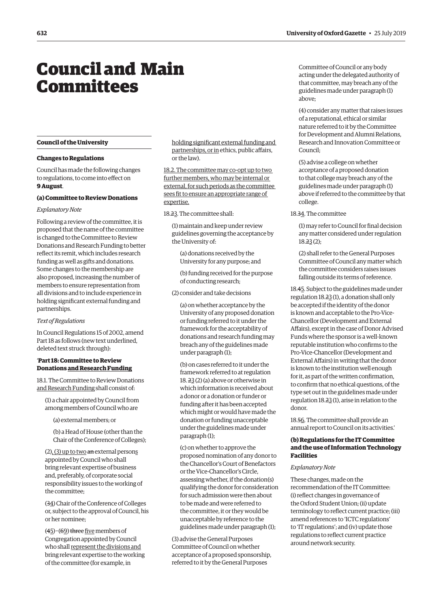## <span id="page-1-0"></span>Council and Main **Committees**

#### **Council of the University**

#### **Changes to Regulations**

Council has made the following changes to regulations, to come into effect on **9 August**.

#### **(a) Committee to Review Donations**

#### *Explanatory Note*

Following a review of the committee, it is proposed that the name of the committee is changed to the Committee to Review Donations and Research Funding to better reflect its remit, which includes research funding as well as gifts and donations. Some changes to the membership are also proposed, increasing the number of members to ensure representation from all divisions and to include experience in holding significant external funding and partnerships.

#### *Text of Regulations*

In Council Regulations 15 of 2002, amend Part 18 as follows (new text underlined, deleted text struck through):

#### '**Part 18: Committee to Review Donations and Research Funding**

18.1. The Committee to Review Donations and Research Funding shall consist of:

(1) a chair appointed by Council from among members of Council who are

(a) external members; or

(b) a Head of House (other than the Chair of the Conference of Colleges);

 $(2)$ ,  $(3)$  up to two an external persons appointed by Council who shall bring relevant expertise of business and, preferably, of corporate social responsibility issues to the working of the committee;

(34) Chair of the Conference of Colleges or, subject to the approval of Council, his or her nominee;

(45)−(69) three five members of Congregation appointed by Council who shall represent the divisions and bring relevant expertise to the working of the committee (for example, in

holding significant external funding and partnerships, or in ethics, public affairs, or the law).

18.2. The committee may co-opt up to two further members, who may be internal or external, for such periods as the committee sees fit to ensure an appropriate range of expertise.

18.23. The committee shall:

(1) maintain and keep under review guidelines governing the acceptance by the University of:

(a) donations received by the University for any purpose; and

(b) funding received for the purpose of conducting research;

(2) consider and take decisions

(a) on whether acceptance by the University of any proposed donation or funding referred to it under the framework for the acceptability of donations and research funding may breach any of the guidelines made under paragraph (1);

(b) on cases referred to it under the framework referred to at regulation 18.  $23(2)$  (a) above or otherwise in which information is received about a donor or a donation or funder or funding after it has been accepted which might or would have made the donation or funding unacceptable under the guidelines made under paragraph (1);

(c) on whether to approve the proposed nomination of any donor to the Chancellor's Court of Benefactors or the Vice-Chancellor's Circle, assessing whether, if the donation(s) qualifying the donor for consideration for such admission were then about to be made and were referred to the committee, it or they would be unacceptable by reference to the guidelines made under paragraph (1);

(3) advise the General Purposes Committee of Council on whether acceptance of a proposed sponsorship, referred to it by the General Purposes

Committee of Council or any body acting under the delegated authority of that committee, may breach any of the guidelines made under paragraph (1) above;

(4) consider any matter that raises issues of a reputational, ethical or similar nature referred to it by the Committee for Development and Alumni Relations, Research and Innovation Committee or Council;

(5) advise a college on whether acceptance of a proposed donation to that college may breach any of the guidelines made under paragraph (1) above if referred to the committee by that college.

18.34. The committee

(1) may refer to Council for final decision any matter considered under regulation 18.23 (2);

(2) shall refer to the General Purposes Committee of Council any matter which the committee considers raises issues falling outside its terms of reference.

18.45. Subject to the guidelines made under regulation 18.23 (1), a donation shall only be accepted if the identity of the donor is known and acceptable to the Pro-Vice-Chancellor (Development and External Affairs), except in the case of Donor Advised Funds where the sponsor is a well-known reputable institution who confirms to the Pro-Vice-Chancellor (Development and External Affairs) in writing that the donor is known to the institution well enough for it, as part of the written confirmation, to confirm that no ethical questions, of the type set out in the guidelines made under regulation 18.23 (1), arise in relation to the donor.

18.56. The committee shall provide an annual report to Council on its activities.'

#### **(b) Regulations for the IT Committee and the use of Information Technology Facilities**

#### *Explanatory Note*

These changes, made on the recommendation of the IT Committee: (i) reflect changes in governance of the Oxford Student Union; (ii) update terminology to reflect current practice; (iii) amend references to 'ICTC regulations' to 'IT regulations'; and (iv) update those regulations to reflect current practice around network security.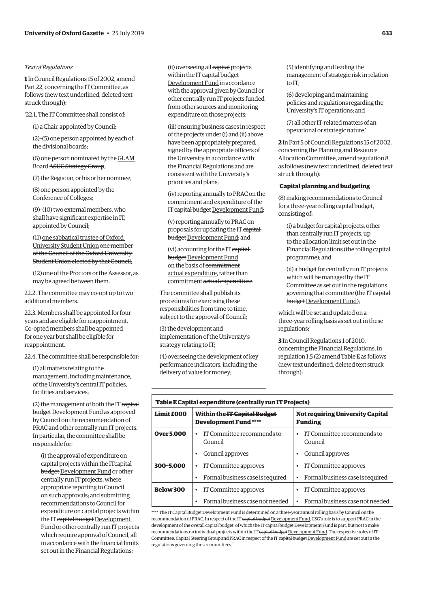#### <span id="page-2-0"></span>*Text of Regulations*

**1** In Council Regulations 15 of 2002, amend Part 22, concerning the IT Committee, as follows (new text underlined, deleted text struck through):

'22.1. The IT Committee shall consist of:

(1) a Chair, appointed by Council;

(2)–(5) one person appointed by each of the divisional boards;

(6) one person nominated by the GLAM **Board ASUC Strategy Group;** 

(7) the Registrar, or his or her nominee;

(8) one person appointed by the Conference of Colleges;

(9)–(10) two external members, who shall have significant expertise in IT, appointed by Council;

(11) one sabbatical trustee of Oxford University Student Union one member of the Council of the Oxford University Student Union elected by that Council;

(12) one of the Proctors or the Assessor, as may be agreed between them.

22.2. The committee may co-opt up to two additional members.

22.3. Members shall be appointed for four years and are eligible for reappointment. Co-opted members shall be appointed for one year but shall be eligible for reappointment.

22.4. The committee shall be responsible for:

(1) all matters relating to the management, including maintenance, of the University's central IT policies, facilities and services;

(2) the management of both the IT capital budget Development Fund as approved by Council on the recommendation of PRAC and other centrally run IT projects. In particular, the committee shall be responsible for:

(i) the approval of expenditure on capital projects within the ITcapital budget Development Fund or other centrally run IT projects, where appropriate reporting to Council on such approvals; and submitting recommendations to Council for expenditure on capital projects within the IT capital budget Development Fund or other centrally run IT projects which require approval of Council, all in accordance with the financial limits set out in the Financial Regulations;

(ii) overseeing all capital projects within the IT capital budget Development Fund in accordance with the approval given by Council or other centrally run IT projects funded from other sources and monitoring expenditure on those projects;

(iii) ensuring business cases in respect of the projects under (i) and (ii) above have been appropriately prepared, signed by the appropriate officers of the University in accordance with the Financial Regulations and are consistent with the University's priorities and plans;

(iv) reporting annually to PRAC on the commitment and expenditure of the IT capital budget Development Fund;

(v) reporting annually to PRAC on proposals for updating the IT capital budget Development Fund; and

(vi) accounting for the IT capital budget Development Fund on the basis of commitment actual expenditure, rather than commitment actual expenditure.

The committee shall publish its procedures for exercising these responsibilities from time to time, subject to the approval of Council;

(3) the development and implementation of the University's strategy relating to IT;

(4) overseeing the development of key performance indicators, including the delivery of value for money;

(5) identifying and leading the management of strategic risk in relation to IT;

(6) developing and maintaining policies and regulations regarding the University's IT operations; and

(7) all other IT-related matters of an operational or strategic nature.'

**2** In Part 5 of Council Regulations 15 of 2002, concerning the Planning and Resource Allocation Committee, amend regulation 8 as follows (new text underlined, deleted text struck through):

#### '**Capital planning and budgeting**

(8) making recommendations to Council for a three-year rolling capital budget, consisting of:

(i) a budget for capital projects, other than centrally run IT projects, up to the allocation limit set out in the Financial Regulations (the rolling capital programme); and

(ii) a budget for centrally run IT projects which will be managed by the IT Committee as set out in the regulations governing that committee (the IT capital budget Development Fund);

which will be set and updated on a three-year rolling basis as set out in these regulations;'

**3** In Council Regulations 1 of 2010, concerning the Financial Regulations, in regulation 1.5 (2) amend Table E as follows (new text underlined, deleted text struck through):

| 'Table E Capital expenditure (centrally run IT Projects) |                                                                     |                                                    |  |  |
|----------------------------------------------------------|---------------------------------------------------------------------|----------------------------------------------------|--|--|
| <b>Limit £000</b>                                        | Within the <del>IT Capital Budget</del><br><b>Development Fund*</b> | <b>Not requiring University Capital</b><br>Funding |  |  |
| <b>Over 5.000</b>                                        | IT Committee recommends to<br>٠<br>Council                          | IT Committee recommends to<br>$\bullet$<br>Council |  |  |
|                                                          | Council approves                                                    | Council approves<br>٠                              |  |  |
| 300-5.000                                                | IT Committee approves<br>٠                                          | IT Committee approves                              |  |  |
|                                                          | Formal business case is required<br>٠                               | Formal business case is required<br>$\bullet$      |  |  |
| <b>Below 300</b>                                         | IT Committee approves<br>٠                                          | IT Committee approves                              |  |  |
|                                                          | Formal business case not needed<br>٠                                | Formal business case not needed<br>$\bullet$       |  |  |

\*\*\*\* The IT <del>Capital Budget</del> <u>Development Fund</u> is determined on a three-year annual rolling basis by Council on the recommendation of PRAC. In respect of the IT capital budget Development Fund, CSG's role is to support PRAC in the development of the overall capital budget, of which the IT capital budget Development Fund is part, but not to make recommendations on individual projects within the IT capital budget Development Fund. The respective roles of IT Committee, Capital Steering Group and PRAC in respect of the IT capital budget Development Fund are set out in the regulations governing those committees.'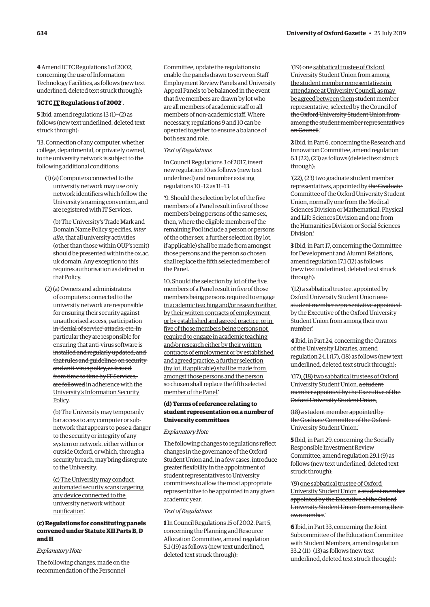<span id="page-3-0"></span>**4** Amend ICTC Regulations 1 of 2002, concerning the use of Information Technology Facilities, as follows (new text underlined, deleted text struck through):

#### '**ICTCIT Regulations 1 of 2002**'.

**5** Ibid, amend regulations 13 (1)−(2) as follows (new text underlined, deleted text struck through):

'13. Connection of any computer, whether college, departmental, or privately owned, to the university network is subject to the following additional conditions:

(1) (a) Computers connected to the university network may use only network identifiers which follow the University's naming convention, and are registered with IT Services.

(b) The University's Trade Mark and Domain Name Policy specifies, *inter alia*, that all university activities (other than those within OUP's remit) should be presented within the [ox.ac.](http://ox.ac.uk) [uk](http://ox.ac.uk) domain. Any exception to this requires authorisation as defined in that Policy.

(2) (a) Owners and administrators of computers connected to the university network are responsible for ensuring their security against unauthorised access, participation in 'denial of service' attacks, etc. In particular they are responsible for ensuring that anti-virus software is installed and regularly updated, and that rules and guidelines on security and anti-virus policy, as issued from time to time by IT Services, are followed in adherence with the University's Information Security Policy.

(b) The University may temporarily bar access to any computer or subnetwork that appears to pose a danger to the security or integrity of any system or network, either within or outside Oxford, or which, through a security breach, may bring disrepute to the University.

(c) The University may conduct automated security scans targeting any device connected to the university network without notification.'

#### **(c) Regulations for constituting panels convened under Statute XII Parts B, D and H**

#### *Explanatory Note*

The following changes, made on the recommendation of the Personnel

Committee, update the regulations to enable the panels drawn to serve on Staff Employment Review Panels and University Appeal Panels to be balanced in the event that five members are drawn by lot who are all members of academic staff or all members of non-academic staff. Where necessary, regulations 9 and 10 can be operated together to ensure a balance of both sex and role.

#### *Text of Regulations*

In Council Regulations 3 of 2017, insert new regulation 10 as follows (new text underlined) and renumber existing regulations 10−12 as 11−13:

'9. Should the selection by lot of the five members of a Panel result in five of those members being persons of the same sex, then, where the eligible members of the remaining Pool include a person or persons of the other sex, a further selection (by lot, if applicable) shall be made from amongst those persons and the person so chosen shall replace the fifth selected member of the Panel.

10. Should the selection by lot of the five members of a Panel result in five of those members being persons required to engage in academic teaching and/or research either by their written contracts of employment or by established and agreed practice, or in five of those members being persons not required to engage in academic teaching and/or research either by their written contracts of employment or by established and agreed practice, a further selection (by lot, if applicable) shall be made from amongst those persons and the person so chosen shall replace the fifth selected member of the Panel.'

#### **(d) Terms of reference relating to student representation on a number of University committees**

#### *Explanatory Note*

The following changes to regulations reflect changes in the governance of the Oxford Student Union and, in a few cases, introduce greater flexibility in the appointment of student representatives to University committees to allow the most appropriate representative to be appointed in any given academic year.

#### *Text of Regulations*

**1** In Council Regulations 15 of 2002, Part 5, concerning the Planning and Resource Allocation Committee, amend regulation 5.1 (19) as follows (new text underlined, deleted text struck through):

'(19) one sabbatical trustee of Oxford University Student Union from among the student member representatives in attendance at University Council, as may be agreed between them student member representative, selected by the Council of the Oxford University Student Union from among the student member representatives on Council.'

**2** Ibid, in Part 6, concerning the Research and Innovation Committee, amend regulation 6.1 (22), (23) as follows (deleted text struck through):

'(22), (23) two graduate student member representatives, appointed by the Graduate Committee of the Oxford University Student Union, normally one from the Medical Sciences Division or Mathematical, Physical and Life Sciences Division and one from the Humanities Division or Social Sciences Division.'

**3** Ibid, in Part 17, concerning the Committee for Development and Alumni Relations, amend regulation 17.1 (12) as follows (new text underlined, deleted text struck through):

'(12) a sabbatical trustee, appointed by Oxford University Student Union one student member representative appointed by the Executive of the Oxford University Student Union from among their own number.'

**4** Ibid, in Part 24, concerning the Curators of the University Libraries, amend regulation 24.1 (17), (18) as follows (new text underlined, deleted text struck through):

'(17), (18)two sabbatical trustees of Oxford University Student Union. a student member appointed by the Executive of the Oxford University Student Union;

#### (18) a student member appointed by the Graduate Committee of the Oxford University Student Union.'

**5** Ibid, in Part 29, concerning the Socially Responsible Investment Review Committee, amend regulation 29.1 (9) as follows (new text underlined, deleted text struck through):

'(9) one sabbatical trustee of Oxford University Student Union a student member appointed by the Executive of the Oxford University Student Union from among their own number.'

**6** Ibid, in Part 33, concerning the Joint Subcommittee of the Education Committee with Student Members, amend regulation 33.2 (11)–(13) as follows (new text underlined, deleted text struck through):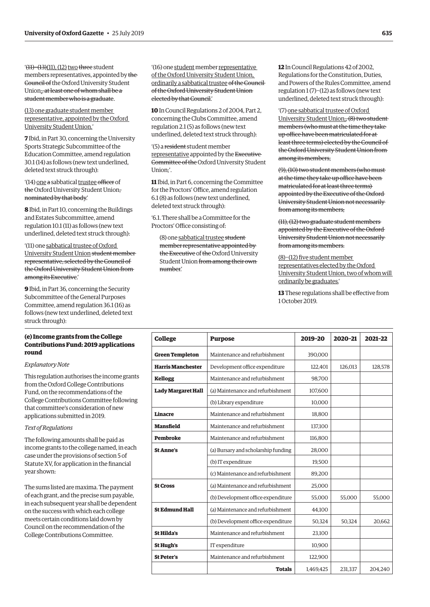<span id="page-4-0"></span>'(11)−(13)(11), (12) two three student members representatives, appointed by the Council of the Oxford University Student Union;, at least one of whom shall be a student member who is a graduate.

#### (13) one graduate student member representative, appointed by the Oxford University Student Union.'

**7** Ibid, in Part 30, concerning the University Sports Strategic Subcommittee of the Education Committee, amend regulation 30.1 (14) as follows (new text underlined, deleted text struck through):

#### '(14) one a sabbatical trustee officer of the Oxford University Student Union, nominated by that body.'

**8** Ibid, in Part 10, concerning the Buildings and Estates Subcommittee, amend regulation 10.1 (11) as follows (new text underlined, deleted text struck through):

'(11) one sabbatical trustee of Oxford University Student Union student member representative, selected by the Council of the Oxford University Student Union from among its Executive.'

**9** Ibid, in Part 36, concerning the Security Subcommittee of the General Purposes Committee, amend regulation 36.1 (16) as follows (new text underlined, deleted text struck through):

#### **(e) Income grants from the College Contributions Fund: 2019 applications round**

#### *Explanatory Note*

This regulation authorises the income grants from the Oxford College Contributions Fund, on the recommendations of the College Contributions Committee following that committee's consideration of new applications submitted in 2019.

#### *Text of Regulations*

The following amounts shall be paid as income grants to the college named, in each case under the provisions of section 5 of Statute XV, for application in the financial year shown:

The sums listed are maxima. The payment of each grant, and the precise sum payable, in each subsequent year shall be dependent on the success with which each college meets certain conditions laid down by Council on the recommendation of the College Contributions Committee.

'(16) one student member representative of the Oxford University Student Union, ordinarily a sabbatical trustee of the Council of the Oxford University Student Union elected by that Council.'

**10** In Council Regulations 2 of 2004, Part 2, concerning the Clubs Committee, amend regulation 2.1 (5) as follows (new text underlined, deleted text struck through):

'(5) a resident student member representative appointed by the Executive Committee of the Oxford University Student Union;'.

**11** Ibid, in Part 6, concerning the Committee for the Proctors' Office, amend regulation 6.1 (8) as follows (new text underlined, deleted text struck through):

'6.1. There shall be a Committee for the Proctors' Office consisting of:

(8) one sabbatical trustee student member representative appointed by the Executive of the Oxford University Student Union from among their own number.'

**12** In Council Regulations 42 of 2002, Regulations for the Constitution, Duties, and Powers of the Rules Committee, amend regulation 1 (7)−(12) as follows (new text underlined, deleted text struck through):

'(7) one sabbatical trustee of Oxford University Student Union;, (8) two student members (who must at the time they take up office have been matriculated for at least three terms) elected by the Council of the Oxford University Student Union from among its members;

(9), (10) two student members (who must at the time they take up office have been matriculated for at least three terms) appointed by the Executive of the Oxford University Student Union not necessarily from among its members;

(11), (12) two graduate student members appointed by the Executive of the Oxford University Student Union not necessarily from among its members.

#### (8)−(12) five student member representatives elected by the Oxford University Student Union, two of whom will ordinarily be graduates.'

**13** These regulations shall be effective from 1 October 2019.

| <b>College</b>            | <b>Purpose</b>                      | 2019-20   | 2020-21 | 2021-22 |
|---------------------------|-------------------------------------|-----------|---------|---------|
| <b>Green Templeton</b>    | Maintenance and refurbishment       | 390,000   |         |         |
| <b>Harris Manchester</b>  | Development office expenditure      | 122,401   | 126,013 | 128,578 |
| <b>Kellogg</b>            | Maintenance and refurbishment       | 98,700    |         |         |
| <b>Lady Margaret Hall</b> | (a) Maintenance and refurbishment   | 107.600   |         |         |
|                           | (b) Library expenditure             | 10,000    |         |         |
| <b>Linacre</b>            | Maintenance and refurbishment       | 18,800    |         |         |
| <b>Mansfield</b>          | Maintenance and refurbishment       | 137,100   |         |         |
| <b>Pembroke</b>           | Maintenance and refurbishment       | 116,800   |         |         |
| <b>St Anne's</b>          | (a) Bursary and scholarship funding | 28,000    |         |         |
|                           | (b) IT expenditure                  | 19,500    |         |         |
|                           | (c) Maintenance and refurbishment   | 89,200    |         |         |
| <b>St Cross</b>           | (a) Maintenance and refurbishment   | 25,000    |         |         |
|                           | (b) Development office expenditure  | 55,000    | 55,000  | 55,000  |
| <b>St Edmund Hall</b>     | (a) Maintenance and refurbishment   | 44,100    |         |         |
|                           | (b) Development office expenditure  | 50,324    | 50,324  | 20,662  |
| <b>St Hilda's</b>         | Maintenance and refurbishment       | 23,100    |         |         |
| <b>St Hugh's</b>          | IT expenditure                      | 10,900    |         |         |
| St Peter's                | Maintenance and refurbishment       | 122,900   |         |         |
|                           | <b>Totals</b>                       | 1,469,425 | 231,337 | 204,240 |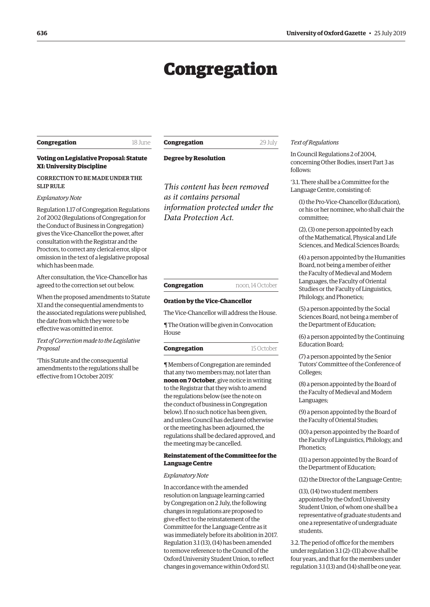# Congregation

#### <span id="page-5-0"></span>**Congregation** 18 June

**Congregation** 29 July

#### **Voting on Legislative Proposal: Statute XI: University Discipline**

#### CORRECTION TO BE MADE UNDER THE SLIP RULE

#### *Explanatory Note*

Regulation 1.17 of Congregation Regulations 2 of 2002 (Regulations of Congregation for the Conduct of Business in Congregation) gives the Vice-Chancellor the power, after consultation with the Registrar and the Proctors, to correct any clerical error, slip or omission in the text of a legislative proposal which has been made.

After consultation, the Vice-Chancellor has agreed to the correction set out below.

When the proposed amendments to Statute XI and the consequential amendments to the associated regulations were published, the date from which they were to be effective was omitted in error.

#### *Text of Correction made to the Legislative Proposal*

'This Statute and the consequential amendments to the regulations shall be effective from 1 October 2019.'

**Degree by Resolution**

*This content has been removed as it contains personal information protected under the Data Protection Act.*

#### **Congregation** noon, 14 October

#### **Oration by the Vice-Chancellor**

The Vice-Chancellor will address the House.

¶ The Oration will be given in Convocation House

**Congregation** 15 October

¶ Members of Congregation are reminded that any two members may, not later than **noon on 7 October**, give notice in writing to the Registrar that they wish to amend the regulations below (see the note on the conduct of business in Congregation below). If no such notice has been given, and unless Council has declared otherwise or the meeting has been adjourned, the regulations shall be declared approved, and the meeting may be cancelled.

#### **Reinstatement of the Committee for the Language Centre**

#### *Explanatory Note*

In accordance with the amended resolution on language learning carried by Congregation on 2 July, the following changes in regulations are proposed to give effect to the reinstatement of the Committee for the Language Centre as it was immediately before its abolition in 2017. Regulation 3.1 (13), (14) has been amended to remove reference to the Council of the Oxford University Student Union, to reflect changes in governance within Oxford SU.

#### *Text of Regulations*

In Council Regulations 2 of 2004, concerning Other Bodies, insert Part 3 as follows:

'3.1. There shall be a Committee for the Language Centre, consisting of:

(1) the Pro-Vice-Chancellor (Education), or his or her nominee, who shall chair the committee;

(2), (3) one person appointed by each of the Mathematical, Physical and Life Sciences, and Medical Sciences Boards;

(4) a person appointed by the Humanities Board, not being a member of either the Faculty of Medieval and Modern Languages, the Faculty of Oriental Studies or the Faculty of Linguistics, Philology, and Phonetics;

(5) a person appointed by the Social Sciences Board, not being a member of the Department of Education;

(6) a person appointed by the Continuing Education Board;

(7) a person appointed by the Senior Tutors' Committee of the Conference of Colleges;

(8) a person appointed by the Board of the Faculty of Medieval and Modern Languages;

(9) a person appointed by the Board of the Faculty of Oriental Studies;

(10) a person appointed by the Board of the Faculty of Linguistics, Philology, and Phonetics·

(11) a person appointed by the Board of the Department of Education;

(12) the Director of the Language Centre;

(13), (14) two student members appointed by the Oxford University Student Union, of whom one shall be a representative of graduate students and one a representative of undergraduate students.

3.2. The period of office for the members under regulation 3.1 (2)–(11) above shall be four years, and that for the members under regulation 3.1 (13) and (14) shall be one year.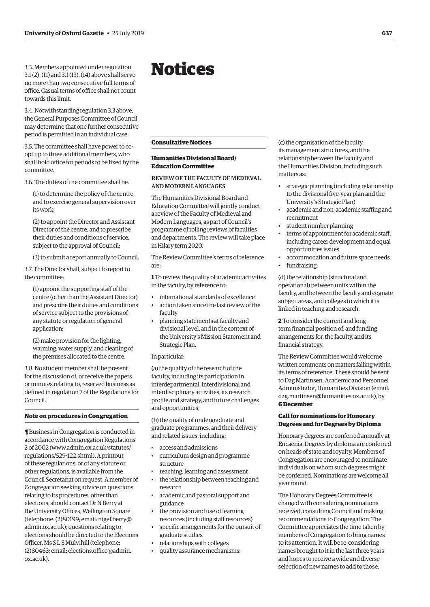<span id="page-6-0"></span>3.3. Members appointed under regulation 3.1 (2)–(11) and 3.1 (13), (14) above shall serve no more than two consecutive full terms of office. Casual terms of office shall not count towards this limit.

3.4. Notwithstanding regulation 3.3 above, the General Purposes Committee of Council may determine that one further consecutive period is permitted in an individual case.

3.5. The committee shall have power to coopt up to three additional members, who shall hold office for periods to be fixed by the committee.

3.6. The duties of the committee shall be:

(1) to determine the policy of the centre, and to exercise general supervision over its work;

(2) to appoint the Director and Assistant Director of the centre, and to prescribe their duties and conditions of service, subject to the approval of Council;

(3) to submit a report annually to Council.

3.7. The Director shall, subject to report to the committee:

(1) appoint the supporting staff of the centre (other than the Assistant Director) and prescribe their duties and conditions of service subject to the provisions of any statute or regulation of general application;

(2) make provision for the lighting, warming, water supply, and cleaning of the premises allocated to the centre.

3.8. No student member shall be present for the discussion of, or receive the papers or minutes relating to, reserved business as defined in regulation 7 of the Regulations for Council.'

#### **Note on procedures in Congregation**

¶ Business in Congregation is conducted in accordance with Congregation Regulations 2 of 2002 [\(www.admin.ox.ac.uk/statutes/](http://www.admin.ox.ac.uk/statutes/regulations/529-122.shtml) [regulations/529-122.shtml\). A](http://www.admin.ox.ac.uk/statutes/regulations/529-122.shtml) printout of these regulations, or of any statute or other regulations, is available from the Council Secretariat on request. A member of Congregation seeking advice on questions relating to its procedures, other than elections, should contact Dr N Berry at the University Offices, Wellington Square [\(telephone: \(2\)80199; email: nigel.berry@](mailto:nigel.berry@admin.ox.ac.uk) admin.ox.ac.uk); questions relating to elections should be directed to the Elections Officer, Ms S L S Mulvihill (telephone: [\(2\)80463; email: elections.office@admin.](mailto:elections.office@admin.ox.ac.uk) ox.ac.uk).

## Notices

#### **Consultative Notices**

#### **Humanities Divisional Board/ Education Committee**

#### REVIEW OF THE FACULTY OF MEDIEVAL AND MODERN LANGUAGES

The Humanities Divisional Board and Education Committee will jointly conduct a review of the Faculty of Medieval and Modern Languages, as part of Council's programme of rolling reviews of faculties and departments. The review will take place in Hilary term 2020.

The Review Committee's terms of reference are:

**1** To review the quality of academic activities in the faculty, by reference to:

- international standards of excellence • action taken since the last review of the
- faculty
- planning statements at faculty and divisional level, and in the context of the University's Mission Statement and Strategic Plan.

In particular:

(a) the quality of the research of the faculty, including its participation in interdepartmental, interdivisional and interdisciplinary activities, its research profile and strategy, and future challenges and opportunities;

(b) the quality of undergraduate and graduate programmes, and their delivery and related issues, including:

- access and admissions
- curriculum design and programme structure
- teaching, learning and assessment
- the relationship between teaching and research
- academic and pastoral support and guidance
- the provision and use of learning resources (including staff resources)
- specific arrangements for the pursuit of graduate studies
- relationships with colleges
- quality assurance mechanisms;

(c) the organisation of the faculty, its management structures, and the relationship between the faculty and the Humanities Division, including such matters as:

- strategic planning (including relationship to the divisional five-year plan and the University's Strategic Plan)
- academic and non-academic staffing and recruitment
- student number planning
- terms of appointment for academic staff, including career development and equal opportunities issues
- accommodation and future space needs • fundraising;

(d) the relationship (structural and operational) between units within the faculty, and between the faculty and cognate subject areas, and colleges to which it is linked in teaching and research.

**2** To consider the current and longterm financial position of, and funding arrangements for, the faculty, and its financial strategy.

The Review Committee would welcome written comments on matters falling within its terms of reference. These should be sent to Dag Martinsen, Academic and Personnel Administrator, Humanities Division (email: [dag.martinsen@humanities.ox.ac.uk](mailto:dag.martinsen@humanities.ox.ac.uk)), by **6 December**.

#### **Call for nominations for Honorary Degrees and for Degrees by Diploma**

Honorary degrees are conferred annually at Encaenia. Degrees by diploma are conferred on heads of state and royalty. Members of Congregation are encouraged to nominate individuals on whom such degrees might be conferred. Nominations are welcome all year round.

The Honorary Degrees Committee is charged with considering nominations received, consulting Council and making recommendations to Congregation. The Committee appreciates the time taken by members of Congregation to bring names to its attention. It will be re-considering names brought to it in the last three years and hopes to receive a wide and diverse selection of new names to add to those.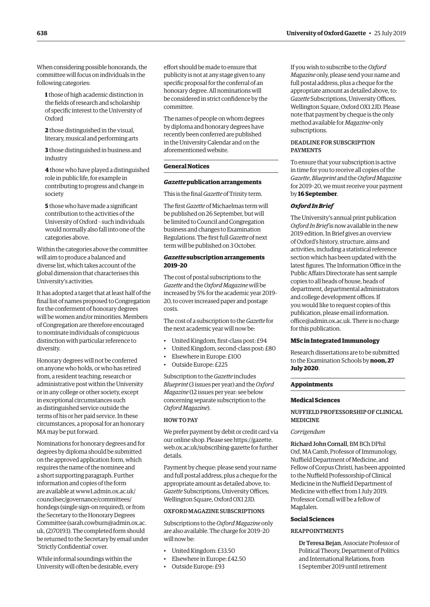<span id="page-7-0"></span>When considering possible honorands, the committee will focus on individuals in the following categories:

**1** those of high academic distinction in the fields of research and scholarship of specific interest to the University of **Oxford** 

**2** those distinguished in the visual, literary, musical and performing arts

**3** those distinguished in business and industry

**4** those who have played a distinguished role in public life, for example in contributing to progress and change in society

**5** those who have made a significant contribution to the activities of the University of Oxford – such individuals would normally also fall into one of the categories above.

Within the categories above the committee will aim to produce a balanced and diverse list, which takes account of the global dimension that characterises this University's activities.

It has adopted a target that at least half of the final list of names proposed to Congregation for the conferment of honorary degrees will be women and/or minorities. Members of Congregation are therefore encouraged to nominate individuals of conspicuous distinction with particular reference to diversity.

Honorary degrees will not be conferred on anyone who holds, or who has retired from, a resident teaching, research or administrative post within the University or in any college or other society, except in exceptional circumstances such as distinguished service outside the terms of his or her paid service. In these circumstances, a proposal for an honorary MA may be put forward.

Nominations for honorary degrees and for degrees by diploma should be submitted on the approved application form, which requires the name of the nominee and a short supporting paragraph. Further information and copies of the form are available at [www1.admin.ox.ac.uk/](http://www1.admin.ox.ac.uk/councilsec/governance/committees/hondegs) [councilsec/governance/committees/](http://www1.admin.ox.ac.uk/councilsec/governance/committees/hondegs) [hondegs](http://www1.admin.ox.ac.uk/councilsec/governance/committees/hondegs) (single sign-on required), or from the Secretary to the Honorary Degrees Committee [\(sarah.cowburn@admin.ox.ac.](mailto:(sarah.cowburn@admin.ox.ac.uk) [uk](mailto:(sarah.cowburn@admin.ox.ac.uk), (2)70193). The completed form should be returned to the Secretary by email under 'Strictly Confidential' cover.

While informal soundings within the University will often be desirable, every effort should be made to ensure that publicity is not at any stage given to any specific proposal for the conferral of an honorary degree. All nominations will be considered in strict confidence by the committee.

The names of people on whom degrees by diploma and honorary degrees have recently been conferred are published in the University Calendar and on the aforementioned website.

#### **General Notices**

#### *Gazette* **publication arrangements**

This is the final *Gazette* of Trinity term.

The first *Gazette* of Michaelmas term will be published on 26 September, but will be limited to Council and Congregation business and changes to Examination Regulations. The first full *Gazette* of next term will be published on 3 October.

#### *Gazette* **subscription arrangements 2019–20**

The cost of postal subscriptions to the *Gazette* and the *Oxford Magazine* will be increased by 5% for the academic year 2019– 20, to cover increased paper and postage costs.

The cost of a subscription to the *Gazette* for the next academic year will now be:

- United Kingdom, first-class post: £94
- United Kingdom, second-class post: £80
- Elsewhere in Europe: £100
- Outside Europe: £225

Subscription to the *Gazette* includes *Blueprint* (3 issues per year) and the *Oxford Magazine* (12 issues per year: see below concerning separate subscription to the *Oxford Magazine*).

#### HOW TO PAY

We prefer payment by debit or credit card via our online shop. Please see [https://gazette.](https://gazette.web.ox.ac.uk/subscribing-gazette) [web.ox.ac.uk/subscribing-gazette](https://gazette.web.ox.ac.uk/subscribing-gazette) for further details.

Payment by cheque: please send your name and full postal address, plus a cheque for the appropriate amount as detailed above, to: *Gazette* Subscriptions, University Offices, Wellington Square, Oxford OX1 2JD.

#### OXFORD MAGAZINE SUBSCRIPTIONS

Subscriptions to the *Oxford Magazine* only are also available. The charge for 2019–20 will now be:

- United Kingdom: £33.50
- Elsewhere in Europe: £42.50
- Outside Europe: £93

If you wish to subscribe to the *Oxford Magazine* only, please send your name and full postal address, plus a cheque for the appropriate amount as detailed above, to: *Gazette* Subscriptions, University Offices, Wellington Square, Oxford OX1 2JD. Please note that payment by cheque is the only method available for *Magazine*-only subscriptions.

#### DEADLINE FOR SUBSCRIPTION PAYMENTS

To ensure that your subscription is active in time for you to receive all copies of the *Gazette*, *Blueprint* and the *Oxford Magazine* for 2019–20, we must receive your payment by **16 September**.

#### *Oxford In Brief*

The University's annual print publication *Oxford In Brief* is now available in the new 2019 edition. In Brief gives an overview of Oxford's history, structure, aims and activities, including a statistical reference section which has been updated with the latest figures. The Information Office in the Public Affairs Directorate has sent sample copies to all heads of house, heads of department, departmental administrators and college development offices. If you would like to request copies of this publication, please email [information.](mailto:information.office@admin.ox.ac.uk) [office@admin.ox.ac.uk.](mailto:information.office@admin.ox.ac.uk) There is no charge for this publication.

#### **MSc in Integrated Immunology**

Research dissertations are to be submitted to the Examination Schools by **noon, 27 July 2020**.

#### **Appointments**

#### **Medical Sciences**

#### NUFFIELD PROFESSORSHIP OF CLINICAL MEDICINE

#### *Corrigendum*

Richard John Cornall, BM BCh DPhil Oxf, MA Camb, Professor of Immunology, Nuffield Department of Medicine, and Fellow of Corpus Christi, has been appointed to the Nuffield Professorship of Clinical Medicine in the Nuffield Department of Medicine with effect from 1 July 2019. Professor Cornall will be a fellow of Magdalen.

#### **Social Sciences**

#### REAPPOINTMENTS

Dr Teresa Bejan, Associate Professor of Political Theory, Department of Politics and International Relations, from 1 September 2019 until retirement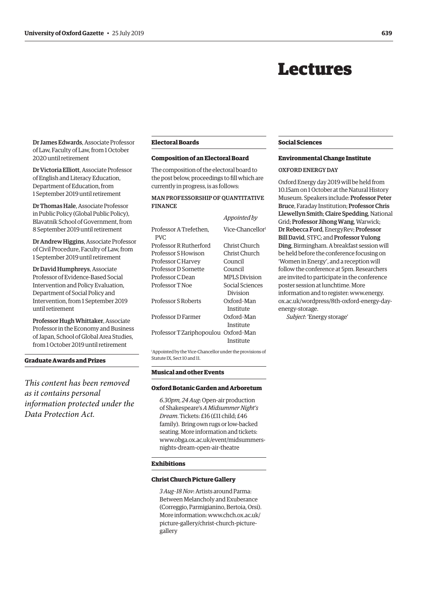## Lectures

<span id="page-8-0"></span>Dr James Edwards, Associate Professor of Law, Faculty of Law, from 1 October 2020 until retirement

Dr Victoria Elliott, Associate Professor of English and Literacy Education, Department of Education, from 1 September 2019 until retirement

Dr Thomas Hale, Associate Professor in Public Policy (Global Public Policy), Blavatnik School of Government, from 8 September 2019 until retirement

Dr Andrew Higgins, Associate Professor of Civil Procedure, Faculty of Law, from 1 September 2019 until retirement

Dr David Humphreys, Associate Professor of Evidence-Based Social Intervention and Policy Evaluation, Department of Social Policy and Intervention, from 1 September 2019 until retirement

Professor Hugh Whittaker, Associate Professor in the Economy and Business of Japan, School of Global Area Studies, from 1 October 2019 until retirement

#### **Graduate Awards and Prizes**

*This content has been removed as it contains personal information protected under the Data Protection Act.*

#### **Electoral Boards**

#### **Composition of an Electoral Board**

The composition of the electoral board to the post below, proceedings to fill which are currently in progress, is as follows:

#### MAN PROFESSORSHIP OF QUANTITATIVE FINANCE

|                                      | Appointed by                 |
|--------------------------------------|------------------------------|
| Professor A Trefethen.<br>PVC.       | Vice-Chancellor <sup>1</sup> |
| Professor R Rutherford               | Christ Church                |
| Professor S Howison                  | Christ Church                |
| Professor C Harvey                   | Council                      |
| Professor D Sornette                 | Council                      |
| Professor C Dean                     | <b>MPLS Division</b>         |
| Professor T Noe                      | Social Sciences              |
|                                      | Division                     |
| Professor S Roberts                  | Oxford-Man                   |
|                                      | Institute                    |
| Professor D Farmer                   | Oxford-Man                   |
|                                      | Institute                    |
| Professor T Zariphopoulou Oxford-Man |                              |
|                                      | Institute                    |

1 Appointed by the Vice-Chancellor under the provisions of Statute IX, Sect 10 and 11.

#### **Musical and other Events**

#### **Oxford Botanic Garden and Arboretum**

*6.30pm, 24 Aug*: Open-air production of Shakespeare's *A Midsummer Night's Dream*. Tickets: £16 (£11 child; £46 family). Bring own rugs or low-backed seating. More information and tickets: [www.obga.ox.ac.uk/event/midsummers](http://www.obga.ox.ac.uk/event/midsummers-nights-dream-open-air-theatre)[nights-dream-open-air-theatre](http://www.obga.ox.ac.uk/event/midsummers-nights-dream-open-air-theatre)

#### **Exhibitions**

#### **Christ Church Picture Gallery**

*3 Aug–18 Nov*: Artists around Parma: Between Melancholy and Exuberance (Correggio, Parmigianino, Bertoia, Orsi). More information: [www.chch.ox.ac.uk/](http://www.chch.ox.ac.uk/picture-gallery/christ-church-picture-gallery) [picture-gallery/christ-church-picture](http://www.chch.ox.ac.uk/picture-gallery/christ-church-picture-gallery)[gallery](http://www.chch.ox.ac.uk/picture-gallery/christ-church-picture-gallery)

#### **Social Sciences**

#### **Environmental Change Institute**

#### OXFORD ENERGY DAY

Oxford Energy day 2019 will be held from 10.15am on 1 October at the Natural History Museum. Speakers include: Professor Peter Bruce, Faraday Institution; Professor Chris Llewellyn Smith; Claire Spedding, National Grid; Professor Jihong Wang, Warwick; Dr Rebecca Ford, EnergyRev; Professor Bill David, STFC; and Professor Yulong Ding, Birmingham. A breakfast session will be held before the conference focusing on 'Women in Energy', and a reception will follow the conference at 5pm. Researchers are invited to participate in the conference poster session at lunchtime. More information and to register: www.energy. [ox.ac.uk/wordpress/8th-oxford-energy-day](www.energy.ox.ac.uk/wordpress/8th-oxford-energy-day-energy-storage)energy-storage.

*Subject*: 'Energy storage'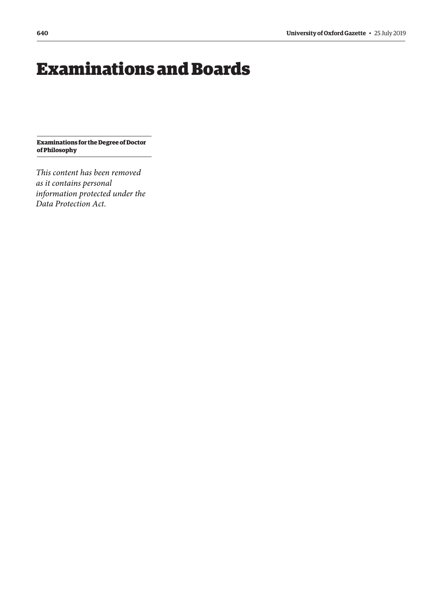# <span id="page-9-0"></span>Examinations and Boards

**Examinations for the Degree of Doctor of Philosophy**

*This content has been removed as it contains personal information protected under the Data Protection Act.*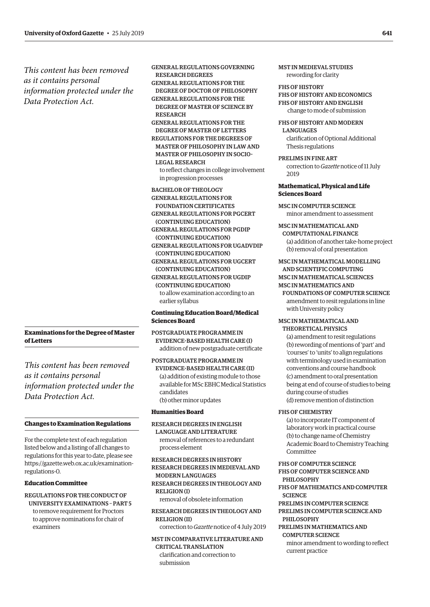<span id="page-10-0"></span>*This content has been removed as it contains personal information protected under the Data Protection Act.*

**Examinations for the Degree of Master of Letters**

*This content has been removed as it contains personal information protected under the Data Protection Act.*

#### **Changes to Examination Regulations**

For the complete text of each regulation listed below and a listing of all changes to regulations for this year to date, please see [https://gazette.web.ox.ac.uk/examination](https://gazette.web.ox.ac.uk/examination-regulations-0)regulations-0.

#### **Education Committee**

REGULATIONS FOR THE CONDUCT OF UNIVERSITY EXAMINATIONS – PART 5 to remove requirement for Proctors to approve nominations for chair of examiners

GENERAL REGULATIONS GOVERNING RESEARCH DEGREES GENERAL REGULATIONS FOR THE DEGREE OF DOCTOR OF PHILOSOPHY GENERAL REGULATIONS FOR THE DEGREE OF MASTER OF SCIENCE BY RESEARCH GENERAL REGULATIONS FOR THE DEGREE OF MASTER OF LETTERS REGULATIONS FOR THE DEGREES OF MASTER OF PHILOSOPHY IN LAW AND MASTER OF PHILOSOPHY IN SOCIO-LEGAL RESEARCH to reflect changes in college involvement in progression processes BACHELOR OF THEOLOGY

GENERAL REGULATIONS FOR FOUNDATION CERTIFICATES GENERAL REGULATIONS FOR PGCERT (CONTINUING EDUCATION) GENERAL REGULATIONS FOR PGDIP (CONTINUING EDUCATION) GENERAL REGULATIONS FOR UGADVDIP (CONTINUING EDUCATION) GENERAL REGULATIONS FOR UGCERT (CONTINUING EDUCATION) GENERAL REGULATIONS FOR UGDIP (CONTINUING EDUCATION) to allow examination according to an earlier syllabus

#### **Continuing Education Board/Medical Sciences Board**

POSTGRADUATE PROGRAMME IN EVIDENCE-BASED HEALTH CARE (I) addition of new postgraduate certificate

POSTGRADUATE PROGRAMME IN EVIDENCE-BASED HEALTH CARE (II) (a) addition of existing module to those available for MSc EBHC Medical Statistics candidates (b) other minor updates

#### **Humanities Board**

RESEARCH DEGREES IN ENGLISH LANGUAGE AND LITERATURE removal of references to a redundant process element

RESEARCH DEGREES IN HISTORY RESEARCH DEGREES IN MEDIEVAL AND MODERN LANGUAGES RESEARCH DEGREES IN THEOLOGY AND RELIGION (I) removal of obsolete information

RESEARCH DEGREES IN THEOLOGY AND RELIGION (II)

correction to *Gazette* notice of 4 July 2019

MST IN COMPARATIVE LITERATURE AND CRITICAL TRANSLATION clarification and correction to submission

MST IN MEDIEVAL STUDIES rewording for clarity

FHS OF HISTORY FHS OF HISTORY AND ECONOMICS FHS OF HISTORY AND ENGLISH change to mode of submission

FHS OF HISTORY AND MODERN **LANGUAGES** clarification of Optional Additional

Thesis regulations PRELIMS IN FINE ART

correction to *Gazette* notice of 11 July 2019

#### **Mathematical, Physical and Life Sciences Board**

MSC IN COMPUTER SCIENCE minor amendment to assessment

MSC IN MATHEMATICAL AND COMPUTATIONAL FINANCE (a) addition of another take-home project (b) removal of oral presentation

MSC IN MATHEMATICAL MODELLING AND SCIENTIFIC COMPUTING MSC IN MATHEMATICAL SCIENCES MSC IN MATHEMATICS AND FOUNDATIONS OF COMPUTER SCIENCE amendment to resit regulations in line with University policy

MSC IN MATHEMATICAL AND THEORETICAL PHYSICS

(a) amendment to resit regulations (b) rewording of mentions of 'part' and 'courses' to 'units' to align regulations with terminology used in examination conventions and course handbook (c) amendment to oral presentation being at end of course of studies to being during course of studies (d) remove mention of distinction

FHS OF CHEMISTRY

FHS OF COMPUTER SCIENCE

(a) to incorporate IT component of laboratory work in practical course (b) to change name of Chemistry Academic Board to Chemistry Teaching Committee

FHS OF COMPUTER SCIENCE AND PHILOSOPHY FHS OF MATHEMATICS AND COMPUTER **SCIENCE** PRELIMS IN COMPUTER SCIENCE PRELIMS IN COMPUTER SCIENCE AND PHILOSOPHY PRELIMS IN MATHEMATICS AND COMPUTER SCIENCE minor amendment to wording to reflect current practice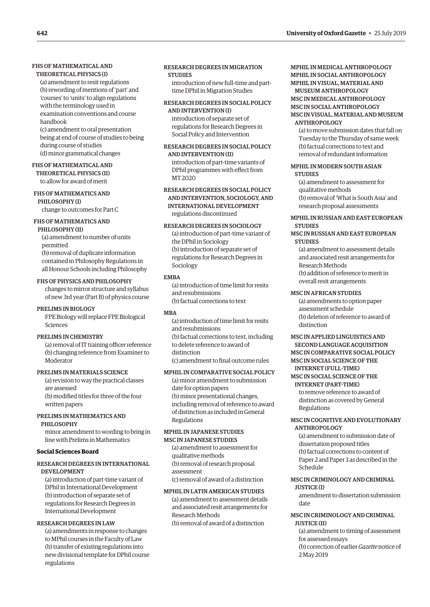#### FHS OF MATHEMATICAL AND

#### THEORETICAL PHYSICS (I)

(a) amendment to resit regulations (b) rewording of mentions of 'part' and 'courses' to 'units' to align regulations with the terminology used in examination conventions and course handbook

(c) amendment to oral presentation being at end of course of studies to being during course of studies (d) minor grammatical changes

#### FHS OF MATHEMATICAL AND

THEORETICAL PHYSICS (II) to allow for award of merit

#### FHS OF MATHEMATICS AND

PHILOSOPHY (I) change to outcomes for Part C

#### FHS OF MATHEMATICS AND PHILOSOPHY (II)

(a) amendment to number of units permitted (b) removal of duplicate information contained in Philosophy Regulations in all Honour Schools including Philosophy

#### FHS OF PHYSICS AND PHILOSOPHY

changes to mirror structure and syllabus of new 3rd year (Part B) of physics course

#### PRELIMS IN BIOLOGY

FPE Biology will replace FPE Biological Sciences

#### PRELIMS IN CHEMISTRY

(a) removal of IT training officer reference (b) changing reference from Examiner to Moderator

#### PRELIMS IN MATERIALS SCIENCE

(a) revision to way the practical classes are assessed (b) modified titles for three of the four written papers

#### PRELIMS IN MATHEMATICS AND PHILOSOPHY

minor amendment to wording to bring in line with Prelims in Mathematics

#### **Social Sciences Board**

#### RESEARCH DEGREES IN INTERNATIONAL DEVELOPMENT

(a) introduction of part-time variant of DPhil in International Development (b) introduction of separate set of regulations for Research Degrees in International Development

#### RESEARCH DEGREES IN LAW

(a) amendments in response to changes to MPhil courses in the Faculty of Law (b) transfer of existing regulations into new divisional template for DPhil course regulations

#### RESEARCH DEGREES IN MIGRATION **STUDIES**

introduction of new full-time and parttime DPhil in Migration Studies

#### RESEARCH DEGREES IN SOCIAL POLICY AND INTERVENTION (I)

introduction of separate set of regulations for Research Degrees in Social Policy and Intervention

#### RESEARCH DEGREES IN SOCIAL POLICY AND INTERVENTION (II)

introduction of part-time variants of DPhil programmes with effect from MT 2020

#### RESEARCH DEGREES IN SOCIAL POLICY AND INTERVENTION, SOCIOLOGY, AND INTERNATIONAL DEVELOPMENT regulations discontinued

#### RESEARCH DEGREES IN SOCIOLOGY

(a) introduction of part-time variant of the DPhil in Sociology (b) introduction of separate set of regulations for Research Degrees in Sociology

#### **EMBA**

(a) introduction of time limit for resits and resubmissions (b) factual corrections to text

#### MBA

(a) introduction of time limit for resits and resubmissions (b) factual corrections to text, including to delete reference to award of distinction (c) amendment to final outcome rules

#### MPHIL IN COMPARATIVE SOCIAL POLICY

(a) minor amendment to submission date for option papers (b) minor presentational changes, including removal of reference to award of distinction as included in General Regulations

#### MPHIL IN JAPANESE STUDIES MSC IN JAPANESE STUDIES

(a) amendment to assessment for qualitative methods (b) removal of research proposal assessment (c) removal of award of a distinction

#### MPHIL IN LATIN AMERICAN STUDIES

(a) amendment to assessment details and associated resit arrangements for Research Methods (b) removal of award of a distinction

#### MPHIL IN MEDICAL ANTHROPOLOGY MPHIL IN SOCIAL ANTHROPOLOGY MPHIL IN VISUAL, MATERIAL AND MUSEUM ANTHROPOLOGY

#### MSC IN MEDICAL ANTHROPOLOGY MSC IN SOCIAL ANTHROPOLOGY MSC IN VISUAL, MATERIAL AND MUSEUM

#### ANTHROPOLOGY (a) to move submission dates that fall on Tuesday to the Thursday of same week (b) factual corrections to text and

removal of redundant information

#### MPHIL IN MODERN SOUTH ASIAN **STUDIES**

(a) amendment to assessment for qualitative methods (b) removal of 'What is South Asia' and research proposal assessments

#### MPHIL IN RUSSIAN AND EAST EUROPEAN **STUDIES**

#### MSC IN RUSSIAN AND EAST EUROPEAN **STUDIES**

(a) amendment to assessment details and associated resit arrangements for Research Methods (b) addition of reference to merit in overall resit arrangements

#### MSC IN AFRICAN STUDIES

(a) amendments to option paper assessment schedule (b) deletion of reference to award of distinction

#### MSC IN APPLIED LINGUISTICS AND SECOND LANGUAGE ACQUISITION

MSC IN COMPARATIVE SOCIAL POLICY MSC IN SOCIAL SCIENCE OF THE INTERNET (FULL-TIME)

#### MSC IN SOCIAL SCIENCE OF THE INTERNET (PART-TIME)

to remove reference to award of distinction as covered by General Regulations

#### MSC IN COGNITIVE AND EVOLUTIONARY ANTHROPOLOGY

(a) amendment to submission date of dissertation proposed titles (b) factual corrections to content of Paper 2 and Paper 3 as described in the Schedule

#### MSC IN CRIMINOLOGY AND CRIMINAL

JUSTICE (I)

amendment to dissertation submission date

#### MSC IN CRIMINOLOGY AND CRIMINAL JUSTICE (II)

(a) amendment to timing of assessment for assessed essays (b) correction of earlier *Gazette* notice of 2 May 2019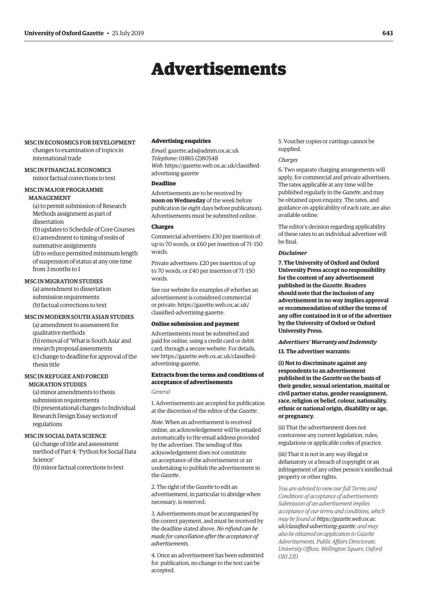## Advertisements

#### <span id="page-12-0"></span>MSC IN ECONOMICS FOR DEVELOPMENT changes to examination of topics in international trade

## MSC IN FINANCIAL ECONOMICS

minor factual corrections to text

#### MSC IN MAJOR PROGRAMME MANAGEMENT

(a) to permit submission of Research Methods assignment as part of dissertation

(b) updates to Schedule of Core Courses (c) amendment to timing of resits of summative assignments (d) to reduce permitted minimum length of suspension of status at any one time

from 3 months to 1

#### MSC IN MIGRATION STUDIES

(a) amendment to dissertation submission requirements (b) factual corrections to text

#### MSC IN MODERN SOUTH ASIAN STUDIES

(a) amendment to assessment for qualitative methods (b) removal of 'What is South Asia' and research proposal assessments (c) change to deadline for approval of the thesis title

#### MSC IN REFUGEE AND FORCED MIGRATION STUDIES

(a) minor amendments to thesis submission requirements (b) presentational changes to Individual Research Design Essay section of regulations

#### MSC IN SOCIAL DATA SCIENCE

(a) change of title and assessment method of Part 4: 'Python for Social Data Science'

(b) minor factual corrections to text

#### **Advertising enquiries**

*Email*: [gazette.ads@admin.ox.ac.uk](mailto:gazette.ads@admin.ox.ac.uk) *Telephone*: 01865 (2)80548 *Web*[: https://gazette.web.ox.ac.uk/classified](www.gazette.web.ox.ac.uk/classified-advertising-gazette)advertising-gazette

#### **Deadline**

Advertisements are to be received by **noon on Wednesday** of the week before publication (ie eight days before publication). Advertisements must be submitted online.

#### **Charges**

Commercial advertisers: £30 per insertion of up to 70 words, or £60 per insertion of 71–150 words.

Private advertisers: £20 per insertion of up to 70 words, or £40 per insertion of 71–150 words.

See our website for examples of whether an advertisement is considered commercial [or private: https://gazette.web.ox.ac.uk/](www.gazette.web.ox.ac.uk/classified-advertising-gazette) classified-advertising-gazette.

#### **Online submission and payment**

Advertisements must be submitted and paid for online, using a credit card or debit card, through a secure website. For details, [see https://gazette.web.ox.ac.uk/classified](www.gazette.web.ox.ac.uk/classified-advertising-gazette)advertising-gazette.

#### **Extracts from the terms and conditions of acceptance of advertisements**

*General*

1. Advertisements are accepted for publication at the discretion of the editor of the *Gazette*.

*Note*. When an advertisement is received online, an acknowledgement will be emailed automatically to the email address provided by the advertiser. The sending of this acknowledgement does not constitute an acceptance of the advertisement or an undertaking to publish the advertisement in the *Gazette*.

2. The right of the *Gazette* to edit an advertisement, in particular to abridge when necessary, is reserved.

3. Advertisements must be accompanied by the correct payment, and must be received by the deadline stated above. *No refund can be made for cancellation after the acceptance of advertisements*.

4. Once an advertisement has been submitted for publication, no change to the text can be accepted.

5. Voucher copies or cuttings cannot be supplied.

#### *Charges*

6. Two separate charging arrangements will apply, for commercial and private advertisers. The rates applicable at any time will be published regularly in the *Gazette*, and may be obtained upon enquiry. The rates, and guidance on applicability of each rate, are also available online.

The editor's decision regarding applicability of these rates to an individual advertiser will be final.

#### *Disclaimer*

**7. The University of Oxford and Oxford University Press accept no responsibility for the content of any advertisement published in the** *Gazette***. Readers should note that the inclusion of any advertisement in no way implies approval or recommendation of either the terms of any offer contained in it or of the advertiser by the University of Oxford or Oxford University Press.**

#### *Advertisers' Warranty and Indemnity*

**13. The advertiser warrants:**

**(i) Not to discriminate against any respondents to an advertisement published in the** *Gazette* **on the basis of their gender, sexual orientation, marital or civil partner status, gender reassignment, race, religion or belief, colour, nationality, ethnic or national origin, disability or age, or pregnancy.**

(ii) That the advertisement does not contravene any current legislation, rules, regulations or applicable codes of practice.

(iii) That it is not in any way illegal or defamatory or a breach of copyright or an infringement of any other person's intellectual property or other rights.

*You are advised to view our full Terms and Conditions of acceptance of advertisements. Submission of an advertisement implies acceptance of our terms and conditions, which may be found at https://gazette.web.ox.ac. [uk/classified-advertising-gazette](www.gazette.web.ox.ac.uk/classified-advertising-gazette), and may also be obtained on application to Gazette Advertisements, Public Affairs Directorate, University Offices, Wellington Square, Oxford OX1 2JD.*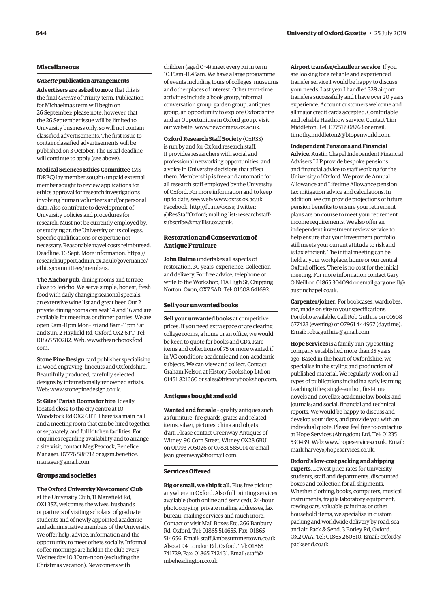#### **Miscellaneous**

#### *Gazette* **publication arrangements**

**Advertisers are asked to note** that this is the final *Gazette* of Trinity term. Publication for Michaelmas term will begin on 26 September; please note, however, that the 26 September issue will be limited to University business only, so will not contain classified advertisements. The first issue to contain classified advertisements will be published on 3 October. The usual deadline will continue to apply (see above).

**Medical Sciences Ethics Committee** (MS IDREC) lay member sought: unpaid external member sought to review applications for ethics approval for research investigations involving human volunteers and/or personal data. Also contribute to development of University policies and procedures for research. Must not be currently employed by, or studying at, the University or its colleges. Specific qualifications or expertise not necessary. Reasonable travel costs reimbursed. Deadline: 16 Sept. More information: [https://](https://researchsupport.admin.ox.ac.uk/governance/ethics/committees/members) [researchsupport.admin.ox.ac.uk/governance/](https://researchsupport.admin.ox.ac.uk/governance/ethics/committees/members)

**The Anchor pub**, dining rooms and terrace – close to Jericho. We serve simple, honest, fresh food with daily changing seasonal specials, an extensive wine list and great beer. Our 2 private dining rooms can seat 14 and 16 and are available for meetings or dinner parties. We are open 9am–11pm Mon–Fri and 8am–11pm Sat and Sun. 2 Hayfield Rd, Oxford OX2 6TT. Tel: 01865 510282. Web: [www.theanchoroxford.](http://www.theanchoroxford.com) [com.](http://www.theanchoroxford.com)

[ethics/committees/members.](https://researchsupport.admin.ox.ac.uk/governance/ethics/committees/members)

**Stone Pine Design** card publisher specialising in wood engraving, linocuts and Oxfordshire. Beautifully produced, carefully selected designs by internationally renowned artists. Web: [www.stonepinedesign.co.uk](http://www.stonepinedesign.co.uk).

**St Giles' Parish Rooms for hire**. Ideally located close to the city centre at 10 Woodstock Rd OX2 6HT. There is a main hall and a meeting room that can be hired together or separately, and full kitchen facilities. For enquiries regarding availability and to arrange a site visit, contact Meg Peacock, Benefice Manager: 07776 588712 or [sgsm.benefice.](mailto:sgsm.benefice.manager@gmail.com) [manager@gmail.com.](mailto:sgsm.benefice.manager@gmail.com)

#### **Groups and societies**

**The Oxford University Newcomers' Club** at the University Club, 11 Mansfield Rd, OX1 3SZ, welcomes the wives, husbands or partners of visiting scholars, of graduate students and of newly appointed academic and administrative members of the University. We offer help, advice, information and the opportunity to meet others socially. Informal coffee mornings are held in the club every Wednesday 10.30am–noon (excluding the Christmas vacation). Newcomers with

children (aged 0–4) meet every Fri in term 10.15am–11.45am. We have a large programme of events including tours of colleges, museums and other places of interest. Other term-time activities include a book group, informal conversation group, garden group, antiques group, an opportunity to explore Oxfordshire and an Opportunities in Oxford group. Visit our website: [www.newcomers.ox.ac.uk](http://www.newcomers.ox.ac.uk).

**Oxford Research Staff Society** (OxRSS) is run by and for Oxford research staff. It provides researchers with social and professional networking opportunities, and a voice in University decisions that affect them. Membership is free and automatic for all research staff employed by the University of Oxford. For more information and to keep up to date, see: web: [www.oxrss.ox.ac.uk;](http://www.oxrss.ox.ac.uk) Facebook: <http://fb.me/oxrss;> Twitter: @ResStaffOxford; mailing list: [researchstaff](mailto:researchstaff-subscribe@maillist.ox.ac.uk)[subscribe@maillist.ox.ac.uk](mailto:researchstaff-subscribe@maillist.ox.ac.uk).

#### **Restoration and Conservation of Antique Furniture**

**John Hulme** undertakes all aspects of restoration. 30 years' experience. Collection and delivery. For free advice, telephone or write to the Workshop, 11A High St, Chipping Norton, Oxon, OX7 5AD. Tel: 01608 641692.

#### **Sell your unwanted books**

**Sell your unwanted books** at competitive prices. If you need extra space or are clearing college rooms, a home or an office, we would be keen to quote for books and CDs. Rare items and collections of 75 or more wanted if in VG condition; academic and non-academic subjects. We can view and collect. Contact Graham Nelson at History Bookshop Ltd on 01451 821660 or [sales@historybookshop.com](mailto:sales@historybookshop.com).

#### **Antiques bought and sold**

**Wanted and for sale** – quality antiques such as furniture, fire guards, grates and related items, silver, pictures, china and objets d'art. Please contact Greenway Antiques of Witney, 90 Corn Street, Witney OX28 6BU on 01993 705026 or 07831 585014 or email jean greenway@hotmail.com.

#### **Services Offered**

**Big or small, we ship it all**. Plus free pick up anywhere in Oxford. Also full printing services available (both online and serviced), 24-hour photocopying, private mailing addresses, fax bureau, mailing services and much more. Contact or visit Mail Boxes Etc, 266 Banbury Rd, Oxford. Tel: 01865 514655. Fax: 01865 514656. Email: [staff@mbesummertown.co.uk](mailto:staff@mbesummertown.co.uk). Also at 94 London Rd, Oxford. Tel: 01865 741729. Fax: 01865 742431. Email: [staff@](mailto:staff@mbeheadington.co.uk) [mbeheadington.co.uk](mailto:staff@mbeheadington.co.uk).

**Airport transfer/chauffeur service**. If you are looking for a reliable and experienced transfer service I would be happy to discuss your needs. Last year I handled 328 airport transfers successfully and I have over 20 years' experience. Account customers welcome and all major credit cards accepted. Comfortable and reliable Heathrow service. Contact Tim Middleton. Tel: 07751 808763 or email: [timothy.middleton2@btopenworld.com](mailto:timothy.middleton2@btopenworld.com).

#### **Independent Pensions and Financial**

**Advice**. Austin Chapel Independent Financial Advisers LLP provide bespoke pensions and financial advice to staff working for the University of Oxford. We provide Annual Allowance and Lifetime Allowance pension tax mitigation advice and calculations. In addition, we can provide projections of future pension benefits to ensure your retirement plans are on course to meet your retirement income requirements. We also offer an independent investment review service to help ensure that your investment portfolio still meets your current attitude to risk and is tax efficient. The initial meeting can be held at your workplace, home or our central Oxford offices. There is no cost for the initial meeting. For more information contact Gary O'Neill on 01865 304094 or email [gary.oneill@](mailto:gary.oneill@austinchapel.co.uk) [austinchapel.co.uk](mailto:gary.oneill@austinchapel.co.uk).

**Carpenter/joiner**. For bookcases, wardrobes, etc, made on site to your specifications. Portfolio available. Call Rob Guthrie on 01608 677423 (evening) or 07961 444957 (daytime). Email: [rob.s.guthrie@gmail.com](mailto:rob.s.guthrie@gmail.com).

**Hope Services** is a family-run typesetting company established more than 35 years ago. Based in the heart of Oxfordshire, we specialise in the styling and production of published material. We regularly work on all types of publications including early learning teaching titles; single-author, first-time novels and novellas; academic law books and journals; and social, financial and technical reports. We would be happy to discuss and develop your ideas, and provide you with an individual quote. Please feel free to contact us at Hope Services (Abingdon) Ltd. Tel: 01235 530439. Web: [www.hopeservices.co.uk.](http://www.hopeservices.co.uk) Email: [mark.harvey@hopeservices.co.uk.](mailto:mark.harvey@hopeservices.co.uk)

#### **Oxford's low-cost packing and shipping**

**experts**. Lowest price rates for University students, staff and departments, discounted boxes and collection for all shipments. Whether clothing, books, computers, musical instruments, fragile laboratory equipment, rowing oars, valuable paintings or other household items, we specialise in custom packing and worldwide delivery by road, sea and air. Pack & Send, 3 Botley Rd, Oxford, OX2 0AA. Tel: 01865 260610. Email: [oxford@](mailto:oxford@packsend.co.uk) [packsend.co.uk.](mailto:oxford@packsend.co.uk)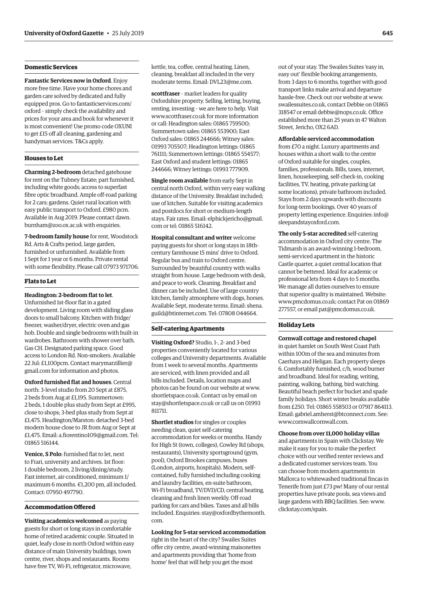#### **Domestic Services**

**Fantastic Services now in Oxford**. Enjoy more free time. Have your home chores and garden care solved by dedicated and fully equipped pros. Go to [fantasticservices.com/](http://fantasticservices.com/oxford) [oxford](http://fantasticservices.com/oxford) – simply check the availability and prices for your area and book for whenever it is most convenient! Use promo code OXUNI to get £15 off all cleaning, gardening and handyman services. T&Cs apply.

#### **Houses to Let**

**Charming 2-bedroom** detached gatehouse for rent on the Tubney Estate; part furnished, including white goods; access to superfast fibre optic broadband. Ample off-road parking for 2 cars; gardens. Quiet rural location with easy public transport to Oxford. £980 pcm. Available in Aug 2019. Please contact [dawn.](mailto:dawn.burnham@zoo.ox.ac.uk) [burnham@zoo.ox.ac.uk](mailto:dawn.burnham@zoo.ox.ac.uk) with enquiries.

**7-bedroom family house** for rent, Woodstock Rd. Arts & Crafts period, large garden, furnished or unfurnished. Available from 1 Sept for 1 year or 6 months. Private rental with some flexibility. Please call 07973 971706.

#### **Flats to Let**

**Headington: 2-bedroom flat to let**. Unfurnished 1st-floor flat in a gated development. Living room with sliding glass doors to small balcony. Kitchen with fridge/ freezer, washer/dryer, electric oven and gas hob. Double and single bedrooms with built-in wardrobes. Bathroom with shower over bath.

Gas CH. Designated parking space. Good access to London Rd. Non-smokers. Available 22 Jul: £1,100pcm. Contact [marymarzillier@](mailto:marymarzillier@gmail.com) [gmail.com](mailto:marymarzillier@gmail.com) for information and photos.

**Oxford furnished flat and houses**. Central north: 3-level studio from 20 Sept at £875, 2 beds from Aug at £1,195. Summertown: 2 beds, 1 double plus study from Sept at £995, close to shops; 3-bed plus study from Sept at £1,475. Headington/Marston: detached 3-bed modern house close to JR from Aug or Sept at £1,475. Email: [a.fiorentino109@gmail.com.](mailto:a.fiorentino109@gmail.com) Tel: 01865 516144.

**Venice, S Polo**: furnished flat to let, next to Frari, university and archives. 1st floor: 1 double bedroom, 2 living/dining/study. Fast internet, air-conditioned, minimum 1/ maximum 6 months. €1,200 pm, all included. Contact: 07950 497790.

#### **Accommodation Offered**

**Visiting academics welcomed** as paying guests for short or long stays in comfortable home of retired academic couple. Situated in quiet, leafy close in north Oxford within easy distance of main University buildings, town centre, river, shops and restaurants. Rooms have free TV, Wi-Fi, refrigerator, microwave,

kettle, tea, coffee, central heating. Linen, cleaning, breakfast all included in the very moderate terms. Email: [DVL23@me.com.](mailto:DVL23@me.com)

**scottfraser** – market leaders for quality Oxfordshire property. Selling, letting, buying, renting, investing – we are here to help. Visit [www.scottfraser.co.uk](http://www.scottfraser.co.uk) for more information or call: Headington sales: 01865 759500; Summertown sales: 01865 553900; East Oxford sales: 01865 244666; Witney sales: 01993 705507; Headington lettings: 01865 761111; Summertown lettings: 01865 554577; East Oxford and student lettings: 01865 244666; Witney lettings: 01993 777909.

**Single room available** from early Sept in central north Oxford, within very easy walking distance of the University. Breakfast included; use of kitchen. Suitable for visiting academics and postdocs for short or medium-length stays. Fair rates. Email: [elphickjericho@gmail.](mailto:elphickjericho@gmail.com) [com](mailto:elphickjericho@gmail.com) or tel: 01865 516142.

**Hospital consultant and writer** welcome paying guests for short or long stays in 18thcentury farmhouse 15 mins' drive to Oxford. Regular bus and train to Oxford centre. Surrounded by beautiful country with walks straight from house. Large bedroom with desk, and peace to work. Cleaning. Breakfast and dinner can be included. Use of large country kitchen, family atmosphere with dogs, horses. Available Sept, moderate terms. Email: [shena.](mailto:shena.guild@btinternet.com) [guild@btinternet.com](mailto:shena.guild@btinternet.com). Tel: 07808 044664.

#### **Self-catering Apartments**

**Visiting Oxford?** Studio, 1-, 2- and 3-bed properties conveniently located for various colleges and University departments. Available from 1 week to several months. Apartments are serviced, with linen provided and all bills included. Details, location maps and photos can be found on our website at [www.](http://www.shortletspace.co.uk) [shortletspace.co.uk](http://www.shortletspace.co.uk). Contact us by email on [stay@shortletspace.co.uk](mailto:stay@shortletspace.co.uk) or call us on 01993 811711.

**Shortlet studios** for singles or couples needing clean, quiet self-catering accommodation for weeks or months. Handy for High St (town, colleges), Cowley Rd (shops, restaurants), University sportsground (gym, pool), Oxford Brookes campuses, buses (London, airports, hospitals). Modern, selfcontained, fully furnished including cooking and laundry facilities, en-suite bathroom, Wi-Fi broadband, TV/DVD/CD, central heating, cleaning and fresh linen weekly. Off-road parking for cars and bikes. Taxes and all bills included. Enquiries: [stay@oxfordbythemonth.](mailto:stay@oxfordbythemonth.com) [com.](mailto:stay@oxfordbythemonth.com)

**Looking for 5-star serviced accommodation**  right in the heart of the city? Swailes Suites offer city centre, award-winning maisonettes and apartments providing that 'home from home' feel that will help you get the most

out of your stay. The Swailes Suites 'easy in, easy out' flexible booking arrangements, from 3 days to 6 months, together with good transport links make arrival and departure hassle-free. Check out our website at [www.](http://www.swailessuites.co.uk) [swailessuites.co.uk](http://www.swailessuites.co.uk), contact Debbie on 01865 318547 or email [debbie@nops.co.uk](mailto:debbie@nops.co.uk). Office established more than 25 years in 47 Walton Street, Jericho, OX2 6AD.

#### **Affordable serviced accommodation**

from £70 a night. Luxury apartments and houses within a short walk to the centre of Oxford suitable for singles, couples, families, professionals. Bills, taxes, internet, linen, housekeeping, self-check-in, cooking facilities, TV, heating, private parking (at some locations), private bathroom included. Stays from 2 days upwards with discounts for long-term bookings. Over 40 years of property letting experience. Enquiries: [info@](mailto:info@sleepandstayoxford.com) [sleepandstayoxford.com](mailto:info@sleepandstayoxford.com).

**The only 5-star accredited** self-catering accommodation in Oxford city centre. The Tidmarsh is an award-winning 1-bedroom, semi-serviced apartment in the historic Castle quarter, a quiet central location that cannot be bettered. Ideal for academic or professional lets from 4 days to 5 months. We manage all duties ourselves to ensure that superior quality is maintained. Website: [www.pmcdomus.co.uk](http://www.pmcdomus.co.uk); contact Pat on 01869 277557, or email [pat@pmcdomus.co.uk](mailto:pat@pmcdomus.co.uk).

#### **Holiday Lets**

**Cornwall cottage and restored chapel** in quiet hamlet on South West Coast Path within 100m of the sea and minutes from Caerhays and Heligan. Each property sleeps 6. Comfortably furnished, c/h, wood burner and broadband. Ideal for reading, writing, painting, walking, bathing, bird watching. Beautiful beach perfect for bucket and spade family holidays. Short winter breaks available from £250. Tel: 01865 558503 or 07917 864113. Email: [gabriel.amherst@btconnect.com](mailto:gabriel.amherst@btconnect.com). See: [www.cornwallcornwall.com.](http://www.cornwallcornwall.com)

#### **Choose from over 11,000 holiday villas**

and apartments in Spain with Clickstay. We make it easy for you to make the perfect choice with our verified renter reviews and a dedicated customer services team. You can choose from modern apartments in Mallorca to whitewashed traditional fincas in Tenerife from just £73 pw! Many of our rental properties have private pools, sea views and large gardens with BBQ facilities. See: [www.](http://www.clickstay.com/spain) [clickstay.com/spain.](http://www.clickstay.com/spain)